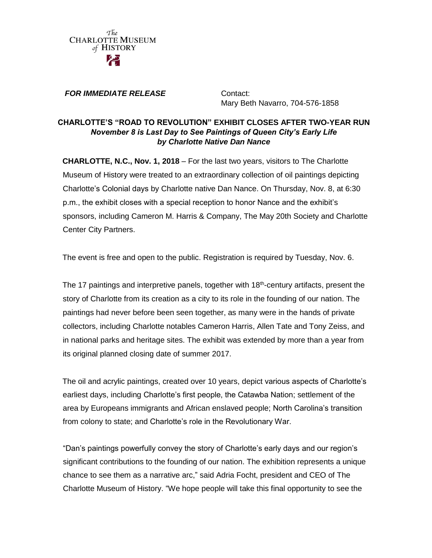

## *FOR IMMEDIATE RELEASE* Contact:

Mary Beth Navarro, 704-576-1858

## **CHARLOTTE'S "ROAD TO REVOLUTION" EXHIBIT CLOSES AFTER TWO-YEAR RUN** *November 8 is Last Day to See Paintings of Queen City's Early Life by Charlotte Native Dan Nance*

**CHARLOTTE, N.C., Nov. 1, 2018** – For the last two years, visitors to The Charlotte Museum of History were treated to an extraordinary collection of oil paintings depicting Charlotte's Colonial days by Charlotte native Dan Nance. On Thursday, Nov. 8, at 6:30 p.m., the exhibit closes with a special reception to honor Nance and the exhibit's sponsors, including Cameron M. Harris & Company, The May 20th Society and Charlotte Center City Partners.

The event is free and open to the public. Registration is required by Tuesday, Nov. 6.

The 17 paintings and interpretive panels, together with 18<sup>th</sup>-century artifacts, present the story of Charlotte from its creation as a city to its role in the founding of our nation. The paintings had never before been seen together, as many were in the hands of private collectors, including Charlotte notables Cameron Harris, Allen Tate and Tony Zeiss, and in national parks and heritage sites. The exhibit was extended by more than a year from its original planned closing date of summer 2017.

The oil and acrylic paintings, created over 10 years, depict various aspects of Charlotte's earliest days, including Charlotte's first people, the Catawba Nation; settlement of the area by Europeans immigrants and African enslaved people; North Carolina's transition from colony to state; and Charlotte's role in the Revolutionary War.

"Dan's paintings powerfully convey the story of Charlotte's early days and our region's significant contributions to the founding of our nation. The exhibition represents a unique chance to see them as a narrative arc," said Adria Focht, president and CEO of The Charlotte Museum of History. "We hope people will take this final opportunity to see the